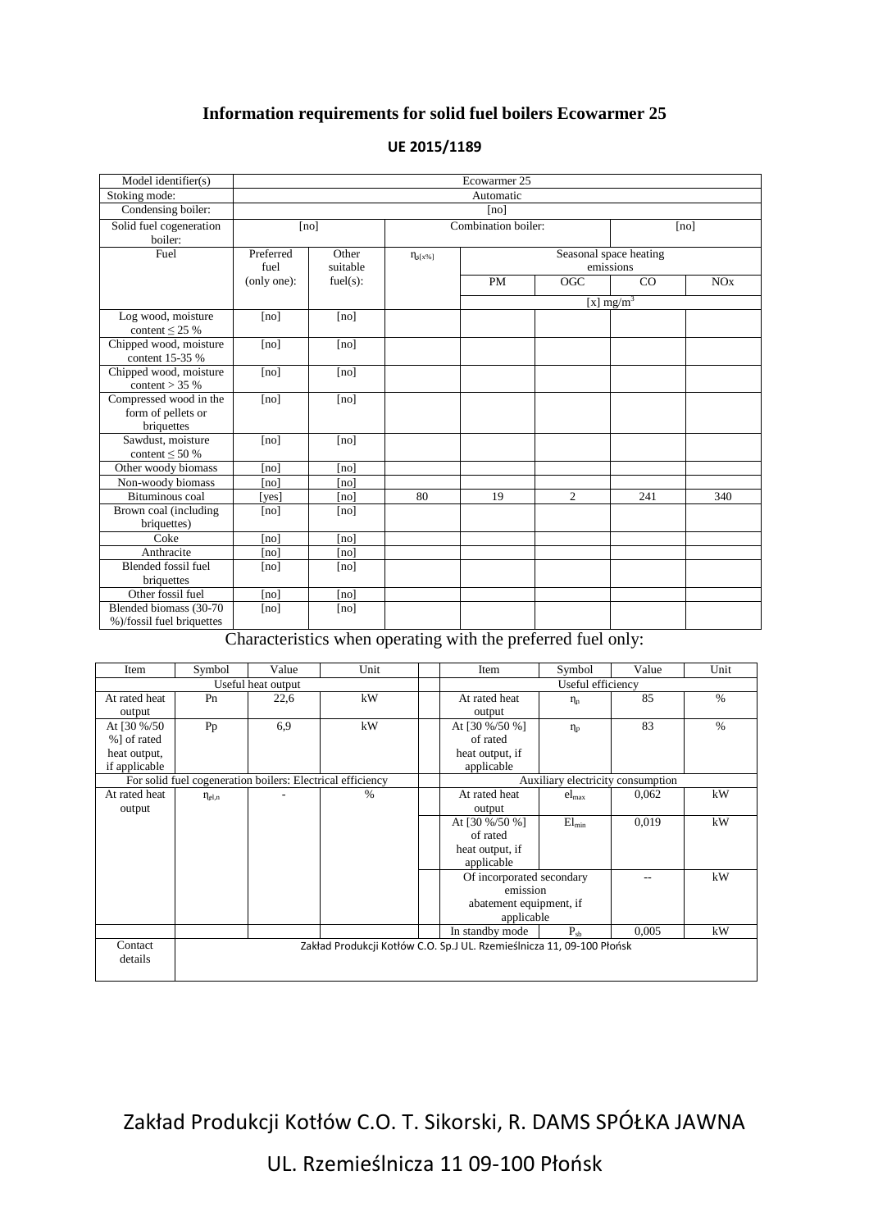## **Information requirements for solid fuel boilers Ecowarmer 25**

| Model identifier(s)                                        | Ecowarmer 25      |                   |                     |           |                                     |              |     |
|------------------------------------------------------------|-------------------|-------------------|---------------------|-----------|-------------------------------------|--------------|-----|
| Stoking mode:                                              | Automatic         |                   |                     |           |                                     |              |     |
| Condensing boiler:                                         | [no]              |                   |                     |           |                                     |              |     |
| Solid fuel cogeneration<br>boiler:                         | [no]              |                   | Combination boiler: |           |                                     | [no]         |     |
| Fuel                                                       | Preferred<br>fuel | Other<br>suitable | $\eta_{s[x\%]}$     |           | Seasonal space heating<br>emissions |              |     |
|                                                            | (only one):       | fuel(s):          |                     | <b>PM</b> | OGC                                 | CO           | NOx |
|                                                            |                   |                   |                     |           |                                     | [x] $mg/m^3$ |     |
| Log wood, moisture<br>content $\leq$ 25 %                  | [no]              | [no]              |                     |           |                                     |              |     |
| Chipped wood, moisture<br>content 15-35 %                  | [no]              | [no]              |                     |           |                                     |              |     |
| Chipped wood, moisture<br>content $>$ 35 %                 | [no]              | [no]              |                     |           |                                     |              |     |
| Compressed wood in the<br>form of pellets or<br>briquettes | [no]              | [no]              |                     |           |                                     |              |     |
| Sawdust, moisture<br>content $\leq 50\%$                   | [no]              | [no]              |                     |           |                                     |              |     |
| Other woody biomass                                        | [no]              | [no]              |                     |           |                                     |              |     |
| Non-woody biomass                                          | [no]              | [no]              |                     |           |                                     |              |     |
| Bituminous coal                                            | [yes]             | [no]              | 80                  | 19        | $\overline{c}$                      | 241          | 340 |
| Brown coal (including<br>briquettes)                       | [no]              | [no]              |                     |           |                                     |              |     |
| Coke                                                       | [no]              | [no]              |                     |           |                                     |              |     |
| Anthracite                                                 | [no]              | [no]              |                     |           |                                     |              |     |
| Blended fossil fuel<br>briquettes                          | [no]              | [no]              |                     |           |                                     |              |     |
| Other fossil fuel                                          | [no]              | [no]              |                     |           |                                     |              |     |
| Blended biomass (30-70<br>%)/fossil fuel briquettes        | [no]              | [no]              |                     |           |                                     |              |     |

## **UE 2015/1189**

Characteristics when operating with the preferred fuel only:

| Item                                                       | Symbol                                                                | Value              | Unit |                                   | Item                      | Symbol            | Value | Unit          |
|------------------------------------------------------------|-----------------------------------------------------------------------|--------------------|------|-----------------------------------|---------------------------|-------------------|-------|---------------|
|                                                            |                                                                       | Useful heat output |      |                                   |                           | Useful efficiency |       |               |
| At rated heat                                              | Pn                                                                    | 22,6               | kW   |                                   | At rated heat             | $\eta_n$          | 85    | $\%$          |
| output                                                     |                                                                       |                    |      |                                   | output                    |                   |       |               |
| At [30 %/50                                                | Pp                                                                    | 6,9                | kW   |                                   | At [30 %/50 %]            | $\eta_{\rm p}$    | 83    | $\frac{0}{0}$ |
| %] of rated                                                |                                                                       |                    |      |                                   | of rated                  |                   |       |               |
| heat output,                                               |                                                                       |                    |      |                                   | heat output, if           |                   |       |               |
| if applicable                                              |                                                                       |                    |      |                                   | applicable                |                   |       |               |
| For solid fuel cogeneration boilers: Electrical efficiency |                                                                       |                    |      | Auxiliary electricity consumption |                           |                   |       |               |
| At rated heat                                              | $\eta_{\text{el,n}}$                                                  |                    | %    |                                   | At rated heat             | $el_{\text{max}}$ | 0,062 | kW            |
| output                                                     |                                                                       |                    |      |                                   | output                    |                   |       |               |
|                                                            |                                                                       |                    |      |                                   | At [30 %/50 %]            | $El_{min}$        | 0,019 | kW            |
|                                                            |                                                                       |                    |      |                                   | of rated                  |                   |       |               |
|                                                            |                                                                       |                    |      |                                   | heat output, if           |                   |       |               |
|                                                            |                                                                       |                    |      |                                   | applicable                |                   |       |               |
|                                                            |                                                                       |                    |      |                                   | Of incorporated secondary |                   |       | kW            |
|                                                            |                                                                       |                    |      |                                   | emission                  |                   |       |               |
|                                                            |                                                                       |                    |      |                                   | abatement equipment, if   |                   |       |               |
|                                                            |                                                                       |                    |      |                                   | applicable                |                   |       |               |
|                                                            |                                                                       |                    |      |                                   | In standby mode           | $P_{sh}$          | 0,005 | kW            |
| Contact                                                    | Zakład Produkcji Kotłów C.O. Sp.J UL. Rzemieślnicza 11, 09-100 Płońsk |                    |      |                                   |                           |                   |       |               |
| details                                                    |                                                                       |                    |      |                                   |                           |                   |       |               |
|                                                            |                                                                       |                    |      |                                   |                           |                   |       |               |

Zakład Produkcji Kotłów C.O. T. Sikorski, R. DAMS SPÓŁKA JAWNA

UL. Rzemieślnicza 11 09-100 Płońsk